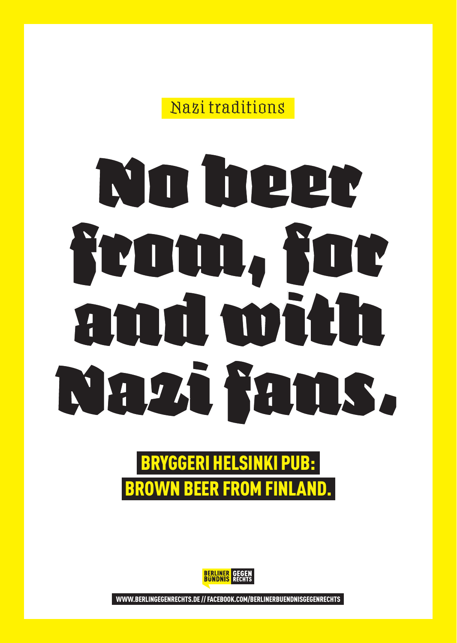Nazi traditions

# No beer from, for and with Nazi fans.

### BRYGGERI HELSINKI PUB: BROWN BEER FROM FINLAND.



WWW.BERLINGEGENRECHTS.DE // FACEBOOK.COM/BERLINERBUENDNISGEGENRECHTS